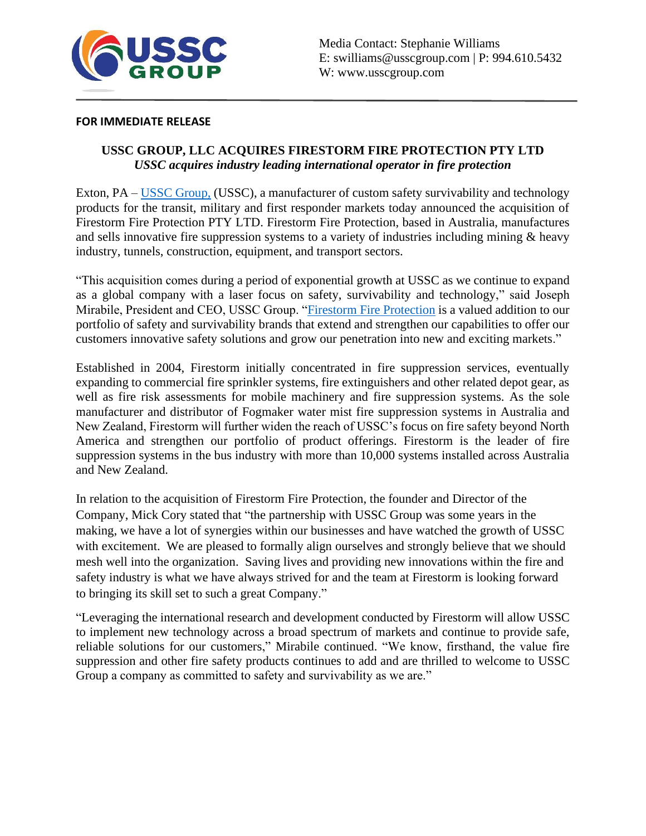

## **FOR IMMEDIATE RELEASE**

## **USSC GROUP, LLC ACQUIRES FIRESTORM FIRE PROTECTION PTY LTD** *USSC acquires industry leading international operator in fire protection*

Exton, PA – [USSC Group,](http://www.usscgroup.com/) (USSC), a manufacturer of custom safety survivability and technology products for the transit, military and first responder markets today announced the acquisition of Firestorm Fire Protection PTY LTD. Firestorm Fire Protection, based in Australia, manufactures and sells innovative fire suppression systems to a variety of industries including mining & heavy industry, tunnels, construction, equipment, and transport sectors.

"This acquisition comes during a period of exponential growth at USSC as we continue to expand as a global company with a laser focus on safety, survivability and technology," said Joseph Mirabile, President and CEO, USSC Group. "Firestorm [Fire Protection](https://firestormgroup.com.au/) is a valued addition to our portfolio of safety and survivability brands that extend and strengthen our capabilities to offer our customers innovative safety solutions and grow our penetration into new and exciting markets."

Established in 2004, Firestorm initially concentrated in fire suppression services, eventually expanding to commercial fire sprinkler systems, fire extinguishers and other related depot gear, as well as fire risk assessments for mobile machinery and fire suppression systems. As the sole manufacturer and distributor of Fogmaker water mist fire suppression systems in Australia and New Zealand, Firestorm will further widen the reach of USSC's focus on fire safety beyond North America and strengthen our portfolio of product offerings. Firestorm is the leader of fire suppression systems in the bus industry with more than 10,000 systems installed across Australia and New Zealand.

In relation to the acquisition of Firestorm Fire Protection, the founder and Director of the Company, Mick Cory stated that "the partnership with USSC Group was some years in the making, we have a lot of synergies within our businesses and have watched the growth of USSC with excitement. We are pleased to formally align ourselves and strongly believe that we should mesh well into the organization. Saving lives and providing new innovations within the fire and safety industry is what we have always strived for and the team at Firestorm is looking forward to bringing its skill set to such a great Company."

"Leveraging the international research and development conducted by Firestorm will allow USSC to implement new technology across a broad spectrum of markets and continue to provide safe, reliable solutions for our customers," Mirabile continued. "We know, firsthand, the value fire suppression and other fire safety products continues to add and are thrilled to welcome to USSC Group a company as committed to safety and survivability as we are."